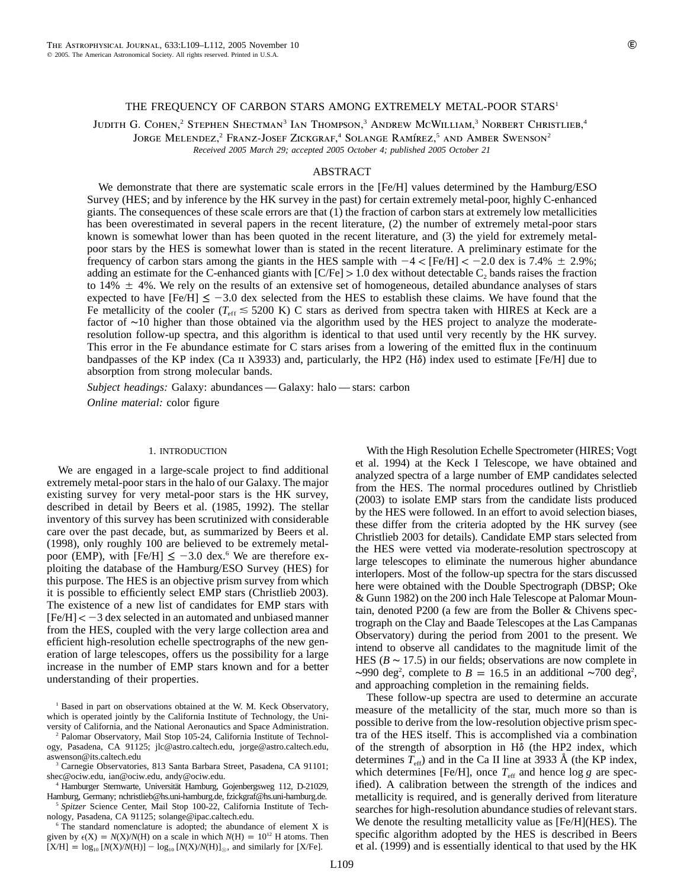# THE FREQUENCY OF CARBON STARS AMONG EXTREMELY METAL-POOR STARS<sup>1</sup>

JUDITH G. COHEN,<sup>2</sup> STEPHEN SHECTMAN<sup>3</sup> IAN THOMPSON,<sup>3</sup> ANDREW MCWILLIAM,<sup>3</sup> NORBERT CHRISTLIEB,<sup>4</sup> JORGE MELENDEZ,<sup>2</sup> FRANZ-JOSEF ZICKGRAF,<sup>4</sup> SOLANGE RAMÍREZ,<sup>5</sup> AND AMBER SWENSON<sup>2</sup> *Received 2005 March 29; accepted 2005 October 4; published 2005 October 21*

### ABSTRACT

We demonstrate that there are systematic scale errors in the [Fe/H] values determined by the Hamburg/ESO Survey (HES; and by inference by the HK survey in the past) for certain extremely metal-poor, highly C-enhanced giants. The consequences of these scale errors are that (1) the fraction of carbon stars at extremely low metallicities has been overestimated in several papers in the recent literature, (2) the number of extremely metal-poor stars known is somewhat lower than has been quoted in the recent literature, and (3) the yield for extremely metalpoor stars by the HES is somewhat lower than is stated in the recent literature. A preliminary estimate for the frequency of carbon stars among the giants in the HES sample with  $-4 <$  [Fe/H]  $< -2.0$  dex is 7.4%  $\pm$  2.9%; adding an estimate for the C-enhanced giants with  $\lfloor C/Fe \rfloor > 1.0$  dex without detectable C<sub>2</sub> bands raises the fraction to  $14\% \pm 4\%$ . We rely on the results of an extensive set of homogeneous, detailed abundance analyses of stars expected to have  $[Fe/H] \le -3.0$  dex selected from the HES to establish these claims. We have found that the Fe metallicity of the cooler ( $T_{\text{eff}} \leq 5200 \text{ K}$ ) C stars as derived from spectra taken with HIRES at Keck are a factor of ∼10 higher than those obtained via the algorithm used by the HES project to analyze the moderateresolution follow-up spectra, and this algorithm is identical to that used until very recently by the HK survey. This error in the Fe abundance estimate for C stars arises from a lowering of the emitted flux in the continuum bandpasses of the KP index (Ca II  $\lambda$ 3933) and, particularly, the HP2 (H $\delta$ ) index used to estimate [Fe/H] due to absorption from strong molecular bands.

*Subject headings:* Galaxy: abundances — Galaxy: halo — stars: carbon *Online material:* color figure

#### 1. INTRODUCTION

We are engaged in a large-scale project to find additional extremely metal-poor stars in the halo of our Galaxy. The major existing survey for very metal-poor stars is the HK survey, described in detail by Beers et al. (1985, 1992). The stellar inventory of this survey has been scrutinized with considerable care over the past decade, but, as summarized by Beers et al. (1998), only roughly 100 are believed to be extremely metalpoor (EMP), with [Fe/H]  $\leq -3.0$  dex.<sup>6</sup> We are therefore exploiting the database of the Hamburg/ESO Survey (HES) for this purpose. The HES is an objective prism survey from which it is possible to efficiently select EMP stars (Christlieb 2003). The existence of a new list of candidates for EMP stars with  $[Fe/H] < -3$  dex selected in an automated and unbiased manner from the HES, coupled with the very large collection area and efficient high-resolution echelle spectrographs of the new generation of large telescopes, offers us the possibility for a large increase in the number of EMP stars known and for a better understanding of their properties.

<sup>1</sup> Based in part on observations obtained at the W. M. Keck Observatory, which is operated jointly by the California Institute of Technology, the University of California, and the National Aeronautics and Space Administration.

<sup>2</sup> Palomar Observatory, Mail Stop 105-24, California Institute of Technology, Pasadena, CA 91125; jlc@astro.caltech.edu, jorge@astro.caltech.edu, aswenson@its.caltech.edu

<sup>3</sup> Carnegie Observatories, 813 Santa Barbara Street, Pasadena, CA 91101; shec@ociw.edu, ian@ociw.edu, andy@ociw.edu.

Hamburger Sternwarte, Universität Hamburg, Gojenbergsweg 112, D-21029,

Hamburg, Germany; nchristlieb@hs.uni-hamburg.de, fzickgraf@hs.uni-hamburg.de. <sup>5</sup> *Spitzer* Science Center, Mail Stop 100-22, California Institute of Technology, Pasadena, CA 91125; solange@ipac.caltech.edu.

 $6$  The standard nomenclature is adopted; the abundance of element X is given by  $\epsilon(X) = N(X)/N(H)$  on a scale in which  $N(H) = 10^{12}$  H atoms. Then  $[X/H] = \log_{10} [N(X)/N(H)] - \log_{10} [N(X)/N(H)]_{\odot}$ , and similarly for [X/Fe].

With the High Resolution Echelle Spectrometer (HIRES; Vogt et al. 1994) at the Keck I Telescope, we have obtained and analyzed spectra of a large number of EMP candidates selected from the HES. The normal procedures outlined by Christlieb (2003) to isolate EMP stars from the candidate lists produced by the HES were followed. In an effort to avoid selection biases, these differ from the criteria adopted by the HK survey (see Christlieb 2003 for details). Candidate EMP stars selected from the HES were vetted via moderate-resolution spectroscopy at large telescopes to eliminate the numerous higher abundance interlopers. Most of the follow-up spectra for the stars discussed here were obtained with the Double Spectrograph (DBSP; Oke & Gunn 1982) on the 200 inch Hale Telescope at Palomar Mountain, denoted P200 (a few are from the Boller & Chivens spectrograph on the Clay and Baade Telescopes at the Las Campanas Observatory) during the period from 2001 to the present. We intend to observe all candidates to the magnitude limit of the HES ( $B \sim 17.5$ ) in our fields; observations are now complete in ~990 deg<sup>2</sup>, complete to  $B = 16.5$  in an additional ~700 deg<sup>2</sup>, and approaching completion in the remaining fields.

These follow-up spectra are used to determine an accurate measure of the metallicity of the star, much more so than is possible to derive from the low-resolution objective prism spectra of the HES itself. This is accomplished via a combination of the strength of absorption in  $H\delta$  (the HP2 index, which determines  $T_{\text{eff}}$ ) and in the Ca II line at 3933 Å (the KP index, which determines [Fe/H], once  $T_{\text{eff}}$  and hence log *g* are specified). A calibration between the strength of the indices and metallicity is required, and is generally derived from literature searches for high-resolution abundance studies of relevant stars. We denote the resulting metallicity value as [Fe/H](HES). The specific algorithm adopted by the HES is described in Beers et al. (1999) and is essentially identical to that used by the HK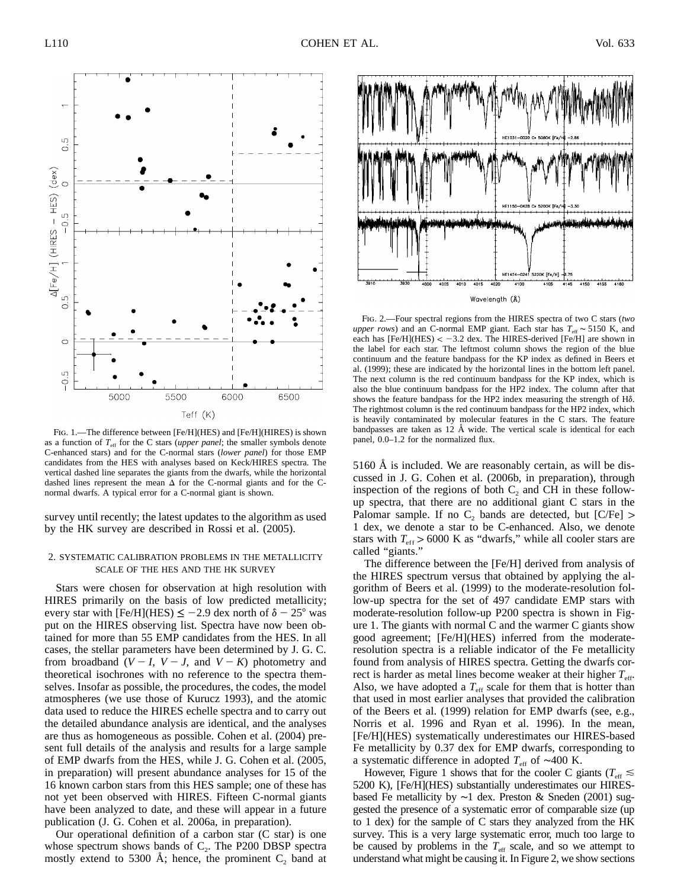

FIG. 1.—The difference between [Fe/H](HES) and [Fe/H](HIRES) is shown as a function of  $T_{\text{eff}}$  for the C stars (*upper panel*; the smaller symbols denote C-enhanced stars) and for the C-normal stars (*lower panel*) for those EMP candidates from the HES with analyses based on Keck/HIRES spectra. The vertical dashed line separates the giants from the dwarfs, while the horizontal dashed lines represent the mean  $\Delta$  for the C-normal giants and for the Cnormal dwarfs. A typical error for a C-normal giant is shown.

survey until recently; the latest updates to the algorithm as used by the HK survey are described in Rossi et al. (2005).

# 2. SYSTEMATIC CALIBRATION PROBLEMS IN THE METALLICITY SCALE OF THE HES AND THE HK SURVEY

Stars were chosen for observation at high resolution with HIRES primarily on the basis of low predicted metallicity; every star with [Fe/H](HES)  $\le$  -2.9 dex north of  $\delta$  - 25° was put on the HIRES observing list. Spectra have now been obtained for more than 55 EMP candidates from the HES. In all cases, the stellar parameters have been determined by J. G. C. from broadband  $(V - I, V - J,$  and  $V - K)$  photometry and theoretical isochrones with no reference to the spectra themselves. Insofar as possible, the procedures, the codes, the model atmospheres (we use those of Kurucz 1993), and the atomic data used to reduce the HIRES echelle spectra and to carry out the detailed abundance analysis are identical, and the analyses are thus as homogeneous as possible. Cohen et al. (2004) present full details of the analysis and results for a large sample of EMP dwarfs from the HES, while J. G. Cohen et al. (2005, in preparation) will present abundance analyses for 15 of the 16 known carbon stars from this HES sample; one of these has not yet been observed with HIRES. Fifteen C-normal giants have been analyzed to date, and these will appear in a future publication (J. G. Cohen et al. 2006a, in preparation).

Our operational definition of a carbon star (C star) is one whose spectrum shows bands of  $C_2$ . The P200 DBSP spectra mostly extend to 5300 Å; hence, the prominent  $C_2$  band at



Fig. 2.—Four spectral regions from the HIRES spectra of two C stars (*two upper rows*) and an C-normal EMP giant. Each star has  $T_{\text{eff}}$  ~ 5150 K, and each has  $[Fe/H](HES) < -3.2$  dex. The HIRES-derived  $[Fe/H]$  are shown in the label for each star. The leftmost column shows the region of the blue continuum and the feature bandpass for the KP index as defined in Beers et al. (1999); these are indicated by the horizontal lines in the bottom left panel. The next column is the red continuum bandpass for the KP index, which is also the blue continuum bandpass for the HP2 index. The column after that shows the feature bandpass for the HP2 index measuring the strength of H $\delta$ . The rightmost column is the red continuum bandpass for the HP2 index, which is heavily contaminated by molecular features in the C stars. The feature bandpasses are taken as  $12 \text{ Å}$  wide. The vertical scale is identical for each panel, 0.0–1.2 for the normalized flux.

5160 Å is included. We are reasonably certain, as will be discussed in J. G. Cohen et al. (2006b, in preparation), through inspection of the regions of both  $C_2$  and CH in these followup spectra, that there are no additional giant C stars in the Palomar sample. If no  $C_2$  bands are detected, but [C/Fe] > 1 dex, we denote a star to be C-enhanced. Also, we denote stars with  $T_{\text{eff}} > 6000$  K as "dwarfs," while all cooler stars are called "giants."

The difference between the [Fe/H] derived from analysis of the HIRES spectrum versus that obtained by applying the algorithm of Beers et al. (1999) to the moderate-resolution follow-up spectra for the set of 497 candidate EMP stars with moderate-resolution follow-up P200 spectra is shown in Figure 1. The giants with normal C and the warmer C giants show good agreement; [Fe/H](HES) inferred from the moderateresolution spectra is a reliable indicator of the Fe metallicity found from analysis of HIRES spectra. Getting the dwarfs correct is harder as metal lines become weaker at their higher  $T_{\text{eff}}$ . Also, we have adopted a  $T_{\text{eff}}$  scale for them that is hotter than that used in most earlier analyses that provided the calibration of the Beers et al. (1999) relation for EMP dwarfs (see, e.g., Norris et al. 1996 and Ryan et al. 1996). In the mean, [Fe/H](HES) systematically underestimates our HIRES-based Fe metallicity by 0.37 dex for EMP dwarfs, corresponding to a systematic difference in adopted *T*<sub>eff</sub> of ∼400 K.

However, Figure 1 shows that for the cooler C giants ( $T_{\text{eff}} \lesssim$ 5200 K), [Fe/H](HES) substantially underestimates our HIRESbased Fe metallicity by ∼1 dex. Preston & Sneden (2001) suggested the presence of a systematic error of comparable size (up to 1 dex) for the sample of C stars they analyzed from the HK survey. This is a very large systematic error, much too large to be caused by problems in the  $T_{\text{eff}}$  scale, and so we attempt to understand what might be causing it. In Figure 2, we show sections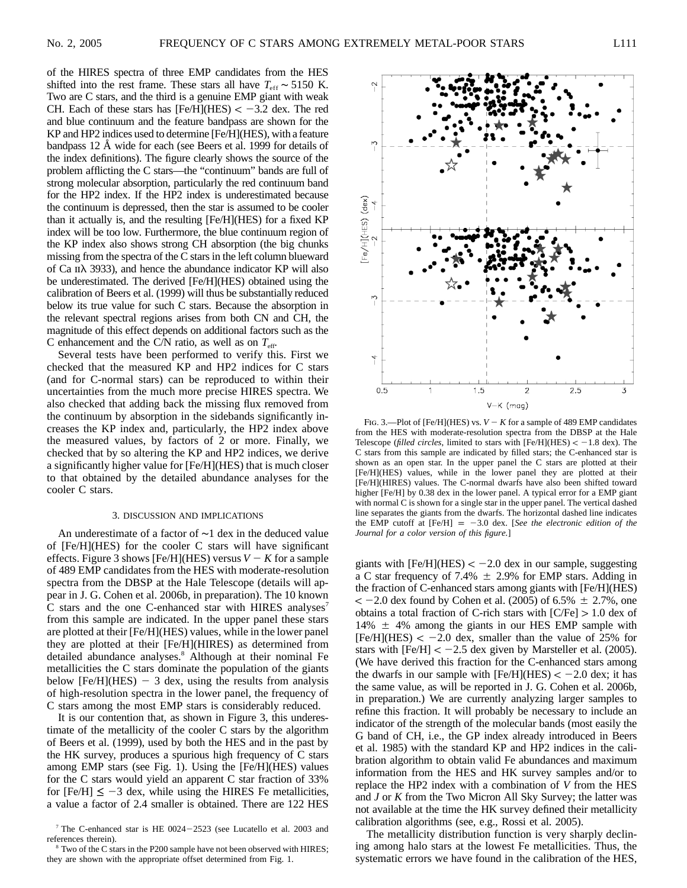of the HIRES spectra of three EMP candidates from the HES shifted into the rest frame. These stars all have  $T_{\text{eff}} \sim 5150 \text{ K}$ . Two are C stars, and the third is a genuine EMP giant with weak CH. Each of these stars has  $[Fe/H](HES) < -3.2$  dex. The red and blue continuum and the feature bandpass are shown for the KP and HP2 indices used to determine [Fe/H](HES), with a feature bandpass 12 Å wide for each (see Beers et al. 1999 for details of the index definitions). The figure clearly shows the source of the problem afflicting the C stars—the "continuum" bands are full of strong molecular absorption, particularly the red continuum band for the HP2 index. If the HP2 index is underestimated because the continuum is depressed, then the star is assumed to be cooler than it actually is, and the resulting [Fe/H](HES) for a fixed KP index will be too low. Furthermore, the blue continuum region of the KP index also shows strong CH absorption (the big chunks missing from the spectra of the C stars in the left column blueward of Ca  $\pi$  3933), and hence the abundance indicator KP will also be underestimated. The derived [Fe/H](HES) obtained using the calibration of Beers et al. (1999) will thus be substantially reduced below its true value for such C stars. Because the absorption in the relevant spectral regions arises from both CN and CH, the magnitude of this effect depends on additional factors such as the C enhancement and the C/N ratio, as well as on  $T_{\text{eff}}$ .

Several tests have been performed to verify this. First we checked that the measured KP and HP2 indices for C stars (and for C-normal stars) can be reproduced to within their uncertainties from the much more precise HIRES spectra. We also checked that adding back the missing flux removed from the continuum by absorption in the sidebands significantly increases the KP index and, particularly, the HP2 index above the measured values, by factors of 2 or more. Finally, we checked that by so altering the KP and HP2 indices, we derive a significantly higher value for [Fe/H](HES) that is much closer to that obtained by the detailed abundance analyses for the cooler C stars.

### 3. DISCUSSION AND IMPLICATIONS

An underestimate of a factor of ∼1 dex in the deduced value of [Fe/H](HES) for the cooler C stars will have significant effects. Figure 3 shows [Fe/H](HES) versus  $V - K$  for a sample of 489 EMP candidates from the HES with moderate-resolution spectra from the DBSP at the Hale Telescope (details will appear in J. G. Cohen et al. 2006b, in preparation). The 10 known C stars and the one C-enhanced star with HIRES analyses<sup>7</sup> from this sample are indicated. In the upper panel these stars are plotted at their [Fe/H](HES) values, while in the lower panel they are plotted at their [Fe/H](HIRES) as determined from detailed abundance analyses.<sup>8</sup> Although at their nominal Fe metallicities the C stars dominate the population of the giants below [Fe/H](HES)  $-$  3 dex, using the results from analysis of high-resolution spectra in the lower panel, the frequency of C stars among the most EMP stars is considerably reduced.

It is our contention that, as shown in Figure 3, this underestimate of the metallicity of the cooler C stars by the algorithm of Beers et al. (1999), used by both the HES and in the past by the HK survey, produces a spurious high frequency of C stars among EMP stars (see Fig. 1). Using the [Fe/H](HES) values for the C stars would yield an apparent C star fraction of 33% for  $[Fe/H] \le -3$  dex, while using the HIRES Fe metallicities, a value a factor of 2.4 smaller is obtained. There are 122 HES



<sup>&</sup>lt;sup>8</sup> Two of the C stars in the P200 sample have not been observed with HIRES; they are shown with the appropriate offset determined from Fig. 1.



FIG. 3.—Plot of [Fe/H](HES) vs.  $V - K$  for a sample of 489 EMP candidates from the HES with moderate-resolution spectra from the DBSP at the Hale Telescope (*filled circles*, limited to stars with  $[Fe/H](HES) < -1.8$  dex). The C stars from this sample are indicated by filled stars; the C-enhanced star is shown as an open star. In the upper panel the C stars are plotted at their [Fe/H](HES) values, while in the lower panel they are plotted at their [Fe/H](HIRES) values. The C-normal dwarfs have also been shifted toward higher [Fe/H] by 0.38 dex in the lower panel. A typical error for a EMP giant with normal C is shown for a single star in the upper panel. The vertical dashed line separates the giants from the dwarfs. The horizontal dashed line indicates the EMP cutoff at  $[Fe/H] = -3.0$  dex. [*See the electronic edition of the Journal for a color version of this figure.*]

giants with  $[Fe/H](HES) < -2.0$  dex in our sample, suggesting a C star frequency of 7.4%  $\pm$  2.9% for EMP stars. Adding in the fraction of C-enhanced stars among giants with [Fe/H](HES)  $<-2.0$  dex found by Cohen et al. (2005) of 6.5%  $\pm$  2.7%, one obtains a total fraction of C-rich stars with  $[C/Fe] > 1.0$  dex of 14%  $\pm$  4% among the giants in our HES EMP sample with  $[Fe/H](HES) < -2.0$  dex, smaller than the value of 25% for stars with  $[Fe/H] < -2.5$  dex given by Marsteller et al. (2005). (We have derived this fraction for the C-enhanced stars among the dwarfs in our sample with  $[Fe/H](HES) < -2.0$  dex; it has the same value, as will be reported in J. G. Cohen et al. 2006b, in preparation.) We are currently analyzing larger samples to refine this fraction. It will probably be necessary to include an indicator of the strength of the molecular bands (most easily the G band of CH, i.e., the GP index already introduced in Beers et al. 1985) with the standard KP and HP2 indices in the calibration algorithm to obtain valid Fe abundances and maximum information from the HES and HK survey samples and/or to replace the HP2 index with a combination of *V* from the HES and *J* or *K* from the Two Micron All Sky Survey; the latter was not available at the time the HK survey defined their metallicity calibration algorithms (see, e.g., Rossi et al. 2005).

The metallicity distribution function is very sharply declining among halo stars at the lowest Fe metallicities. Thus, the systematic errors we have found in the calibration of the HES,